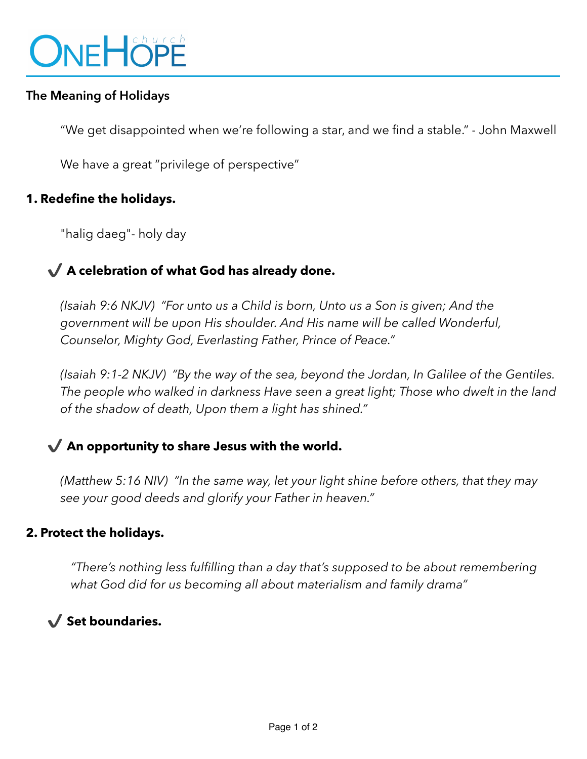

### **The Meaning of Holidays**

"We get disappointed when we're following a star, and we find a stable." - John Maxwell

We have a great "privilege of perspective"

### **1. Redefine the holidays.**

"halig daeg"- holy day

# ✔ **A celebration of what God has already done.**

*(Isaiah 9:6 NKJV) "For unto us a Child is born, Unto us a Son is given; And the government will be upon His shoulder. And His name will be called Wonderful, Counselor, Mighty God, Everlasting Father, Prince of Peace."* 

*(Isaiah 9:1-2 NKJV) "By the way of the sea, beyond the Jordan, In Galilee of the Gentiles. The people who walked in darkness Have seen a great light; Those who dwelt in the land of the shadow of death, Upon them a light has shined."* 

## ✔ **An opportunity to share Jesus with the world.**

*(Matthew 5:16 NIV) "In the same way, let your light shine before others, that they may see your good deeds and glorify your Father in heaven."* 

#### **2. Protect the holidays.**

*"There's nothing less fulfilling than a day that's supposed to be about remembering what God did for us becoming all about materialism and family drama"* 

✔ **Set boundaries.**